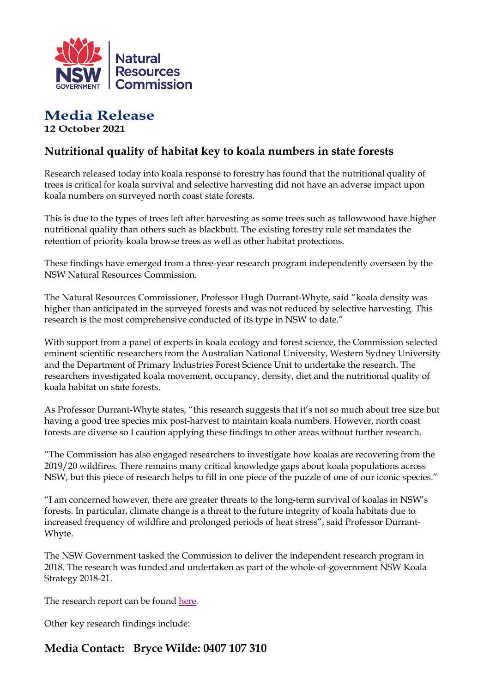

## **Media Release 12 October 2021**

## **Nutritional quality of habitat key to koala numbers in state forests**

Research released today into koala response to forestry has found that the nutritional quality of trees is critical for koala survival and selective harvesting did not have an adverse impact upon koala numbers on surveyed north coast state forests.

This is due to the types of trees left after harvesting as some trees such as tallowwood have higher nutritional quality than others such as blackbutt. The existing forestry rule set mandates the retention of priority koala browse trees as well as other habitat protections.

These findings have emerged from a three-year research program independently overseen by the NSW Natural Resources Commission.

The Natural Resources Commissioner, Professor Hugh Durrant-Whyte, said "koala density was higher than anticipated in the surveyed forests and was not reduced by selective harvesting. This research is the most comprehensive conducted of its type in NSW to date."

With support from a panel of experts in koala ecology and forest science, the Commission selected eminent scientific researchers from the Australian National University, Western Sydney University and the Department of Primary Industries Forest Science Unit to undertake the research. The researchers investigated koala movement, occupancy, density, diet and the nutritional quality of koala habitat on state forests.

As Professor Durrant-Whyte states, "this research suggests that it's not so much about tree size but having a good tree species mix post-harvest to maintain koala numbers. However, north coast forests are diverse so I caution applying these findings to other areas without further research.

"The Commission has also engaged researchers to investigate how koalas are recovering from the 2019/20 wildfires. There remains many critical knowledge gaps about koala populations across NSW, but this piece of research helps to fill in one piece of the puzzle of one of our iconic species."

"I am concerned however, there are greater threats to the long-term survival of koalas in NSW's forests. In particular, climate change is a threat to the future integrity of koala habitats due to increased frequency of wildfire and prolonged periods of heat stress", said Professor Durrant-Whyte.

The NSW Government tasked the Commission to deliver the independent research program in 2018. The research was funded and undertaken as part of the whole-of-government NSW Koala Strategy 2018-21.

The research report can be found [here.](https://www.nrc.nsw.gov.au/koala-research)

Other key research findings include:

## **Media Contact: Bryce Wilde: 0407 107 310**